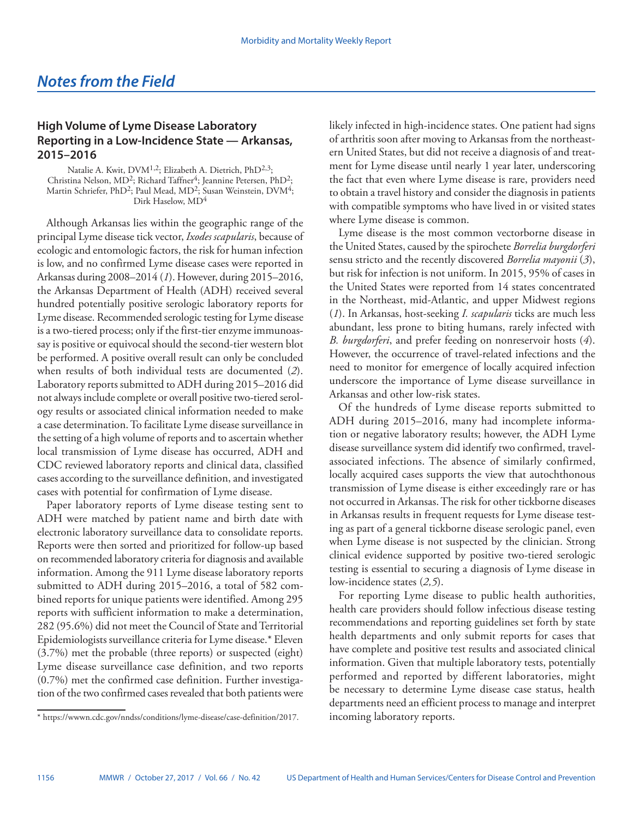## **High Volume of Lyme Disease Laboratory Reporting in a Low-Incidence State — Arkansas, 2015–2016**

Natalie A. Kwit, DVM<sup>1,2</sup>; Elizabeth A. Dietrich, PhD<sup>2,3</sup>; Christina Nelson, MD<sup>2</sup>; Richard Taffner<sup>4</sup>; Jeannine Petersen, PhD<sup>2</sup>; Martin Schriefer, PhD<sup>2</sup>; Paul Mead, MD<sup>2</sup>; Susan Weinstein, DVM<sup>4</sup>; Dirk Haselow, MD<sup>4</sup>

Although Arkansas lies within the geographic range of the principal Lyme disease tick vector, *Ixodes scapularis*, because of ecologic and entomologic factors, the risk for human infection is low, and no confirmed Lyme disease cases were reported in Arkansas during 2008–2014 (*1*). However, during 2015–2016, the Arkansas Department of Health (ADH) received several hundred potentially positive serologic laboratory reports for Lyme disease. Recommended serologic testing for Lyme disease is a two-tiered process; only if the first-tier enzyme immunoassay is positive or equivocal should the second-tier western blot be performed. A positive overall result can only be concluded when results of both individual tests are documented (*2*). Laboratory reports submitted to ADH during 2015–2016 did not always include complete or overall positive two-tiered serology results or associated clinical information needed to make a case determination. To facilitate Lyme disease surveillance in the setting of a high volume of reports and to ascertain whether local transmission of Lyme disease has occurred, ADH and CDC reviewed laboratory reports and clinical data, classified cases according to the surveillance definition, and investigated cases with potential for confirmation of Lyme disease.

Paper laboratory reports of Lyme disease testing sent to ADH were matched by patient name and birth date with electronic laboratory surveillance data to consolidate reports. Reports were then sorted and prioritized for follow-up based on recommended laboratory criteria for diagnosis and available information. Among the 911 Lyme disease laboratory reports submitted to ADH during 2015–2016, a total of 582 combined reports for unique patients were identified. Among 295 reports with sufficient information to make a determination, 282 (95.6%) did not meet the Council of State and Territorial Epidemiologists surveillance criteria for Lyme disease.\* Eleven (3.7%) met the probable (three reports) or suspected (eight) Lyme disease surveillance case definition, and two reports (0.7%) met the confirmed case definition. Further investigation of the two confirmed cases revealed that both patients were

likely infected in high-incidence states. One patient had signs of arthritis soon after moving to Arkansas from the northeastern United States, but did not receive a diagnosis of and treatment for Lyme disease until nearly 1 year later, underscoring the fact that even where Lyme disease is rare, providers need to obtain a travel history and consider the diagnosis in patients with compatible symptoms who have lived in or visited states where Lyme disease is common.

Lyme disease is the most common vectorborne disease in the United States, caused by the spirochete *Borrelia burgdorferi* sensu stricto and the recently discovered *Borrelia mayonii* (*3*), but risk for infection is not uniform. In 2015, 95% of cases in the United States were reported from 14 states concentrated in the Northeast, mid-Atlantic, and upper Midwest regions (*1*). In Arkansas, host-seeking *I. scapularis* ticks are much less abundant, less prone to biting humans, rarely infected with *B. burgdorferi*, and prefer feeding on nonreservoir hosts (*4*). However, the occurrence of travel-related infections and the need to monitor for emergence of locally acquired infection underscore the importance of Lyme disease surveillance in Arkansas and other low-risk states.

Of the hundreds of Lyme disease reports submitted to ADH during 2015–2016, many had incomplete information or negative laboratory results; however, the ADH Lyme disease surveillance system did identify two confirmed, travelassociated infections. The absence of similarly confirmed, locally acquired cases supports the view that autochthonous transmission of Lyme disease is either exceedingly rare or has not occurred in Arkansas. The risk for other tickborne diseases in Arkansas results in frequent requests for Lyme disease testing as part of a general tickborne disease serologic panel, even when Lyme disease is not suspected by the clinician. Strong clinical evidence supported by positive two-tiered serologic testing is essential to securing a diagnosis of Lyme disease in low-incidence states (*2,5*).

For reporting Lyme disease to public health authorities, health care providers should follow infectious disease testing recommendations and reporting guidelines set forth by state health departments and only submit reports for cases that have complete and positive test results and associated clinical information. Given that multiple laboratory tests, potentially performed and reported by different laboratories, might be necessary to determine Lyme disease case status, health departments need an efficient process to manage and interpret

<sup>\*</sup> [https://wwwn.cdc.gov/nndss/conditions/lyme-disease/case-definition/2017](https://wwwn.cdc.gov/nndss/conditions/lyme-disease/case-definition/2017/). incoming laboratory reports.